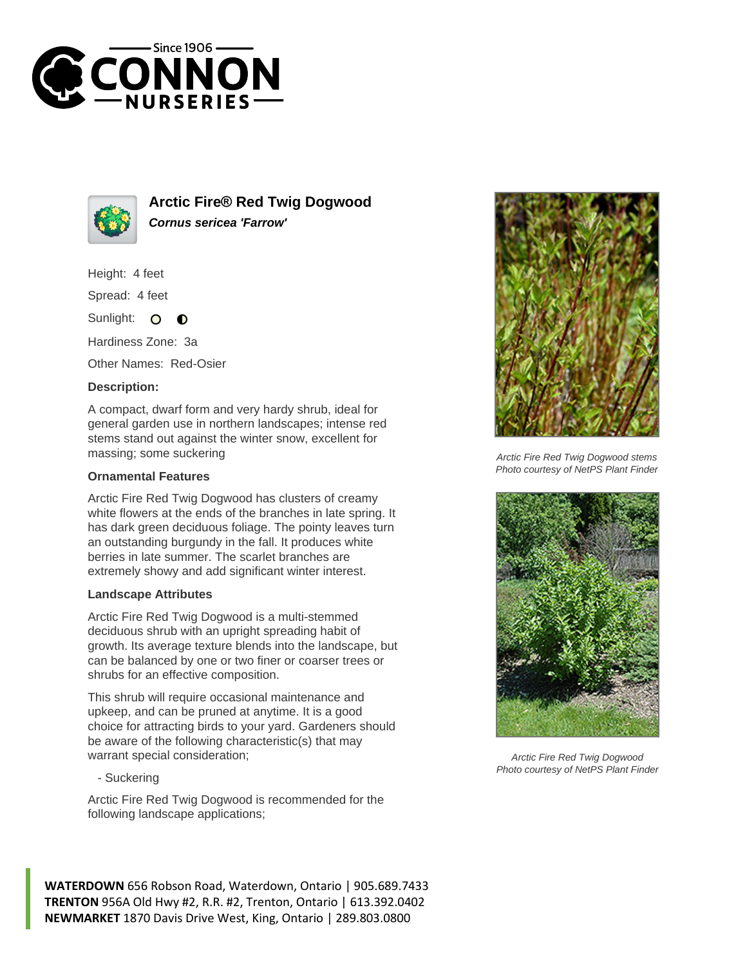



**Arctic Fire® Red Twig Dogwood Cornus sericea 'Farrow'**

Height: 4 feet

Spread: 4 feet

Sunlight:  $\bullet$  $\bullet$ 

Hardiness Zone: 3a

Other Names: Red-Osier

## **Description:**

A compact, dwarf form and very hardy shrub, ideal for general garden use in northern landscapes; intense red stems stand out against the winter snow, excellent for massing; some suckering

## **Ornamental Features**

Arctic Fire Red Twig Dogwood has clusters of creamy white flowers at the ends of the branches in late spring. It has dark green deciduous foliage. The pointy leaves turn an outstanding burgundy in the fall. It produces white berries in late summer. The scarlet branches are extremely showy and add significant winter interest.

## **Landscape Attributes**

Arctic Fire Red Twig Dogwood is a multi-stemmed deciduous shrub with an upright spreading habit of growth. Its average texture blends into the landscape, but can be balanced by one or two finer or coarser trees or shrubs for an effective composition.

This shrub will require occasional maintenance and upkeep, and can be pruned at anytime. It is a good choice for attracting birds to your yard. Gardeners should be aware of the following characteristic(s) that may warrant special consideration;

- Suckering

Arctic Fire Red Twig Dogwood is recommended for the following landscape applications;





Arctic Fire Red Twig Dogwood stems Photo courtesy of NetPS Plant Finder



Arctic Fire Red Twig Dogwood Photo courtesy of NetPS Plant Finder